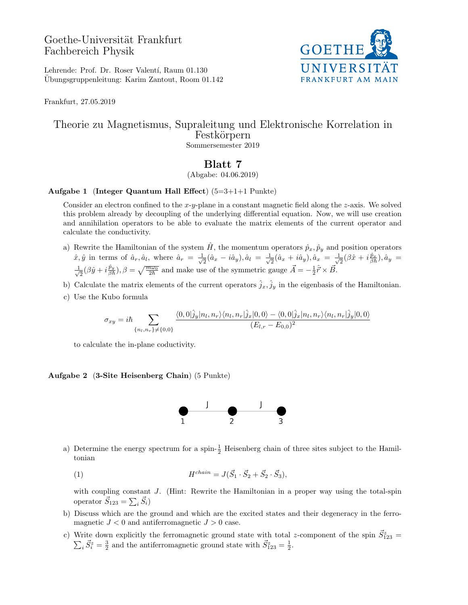Goethe-Universität Frankfurt Fachbereich Physik



Lehrende: Prof. Dr. Roser Valentí, Raum 01.130 Ubungsgruppenleitung: Karim Zantout, Room 01.142 ¨

Frankfurt, 27.05.2019

## Theorie zu Magnetismus, Supraleitung und Elektronische Korrelation in Festkörpern Sommersemester 2019

## Blatt 7

(Abgabe: 04.06.2019)

## Aufgabe 1 (Integer Quantum Hall Effect)  $(5=3+1+1 \text{ Punkte})$

Consider an electron confined to the x-y-plane in a constant magnetic field along the z-axis. We solved this problem already by decoupling of the underlying differential equation. Now, we will use creation and annihilation operators to be able to evaluate the matrix elements of the current operator and calculate the conductivity.

- a) Rewrite the Hamiltonian of the system  $\hat{H}$ , the momentum operators  $\hat{p}_x, \hat{p}_y$  and position operators  $\hat{x}, \hat{y}$  in terms of  $\hat{a}_r, \hat{a}_l$ , where  $\hat{a}_r = \frac{1}{\sqrt{2}}$  $\frac{1}{2}(\hat{a}_x - i\hat{a}_y), \hat{a}_l \: = \: \frac{1}{\sqrt{2}}$  $\frac{1}{2}(\hat{a}_x+i\hat{a}_y),\hat{a}_x\ =\ \frac{1}{\sqrt{2}}$  $\frac{1}{2}(\beta \hat{x} + i \frac{\hat{p}_{x}}{\beta \hbar}), \hat{a}_{y} =$  $\frac{1}{2}$  $\frac{1}{2}(\beta \hat{y} + i \frac{\hat{p}_y}{\beta \hbar}), \beta = \sqrt{\frac{m\omega_0}{2\hbar}}$  and make use of the symmetric gauge  $\vec{A} = -\frac{1}{2}\hat{r} \times \vec{B}$ .
- b) Calculate the matrix elements of the current operators  $\hat{j}_x, \hat{j}_y$  in the eigenbasis of the Hamiltonian.
- c) Use the Kubo formula

$$
\sigma_{xy} = i\hbar \sum_{\{n_l, n_r\} \neq \{0,0\}} \frac{\langle 0,0|\hat{j}_y|n_l, n_r \rangle \langle n_l, n_r|\hat{j}_x|0,0 \rangle - \langle 0,0|\hat{j}_x|n_l, n_r \rangle \langle n_l, n_r|\hat{j}_y|0,0 \rangle}{(E_{l,r} - E_{0,0})^2}
$$

to calculate the in-plane coductivity.

## Aufgabe 2 (3-Site Heisenberg Chain) (5 Punkte)



- a) Determine the energy spectrum for a spin- $\frac{1}{2}$  Heisenberg chain of three sites subject to the Hamiltonian
	- (1)  $H^{chain} = J(\vec{S}_1 \cdot \vec{S}_2 + \vec{S}_2 \cdot \vec{S}_3),$

with coupling constant J. (Hint: Rewrite the Hamiltonian in a proper way using the total-spin operator  $\vec{S}_{123} = \sum_i \vec{S}_i$ 

- b) Discuss which are the ground and which are the excited states and their degeneracy in the ferromagnetic  $J < 0$  and antiferromagnetic  $J > 0$  case.
- c) Write down explicitly the ferromagnetic ground state with total z-component of the spin  $\vec{S}_{123}^z$  =  $\sum_i \vec{S}_i^z = \frac{3}{2}$  and the antiferromagnetic ground state with  $\vec{S}_{123}^z = \frac{1}{2}$ .